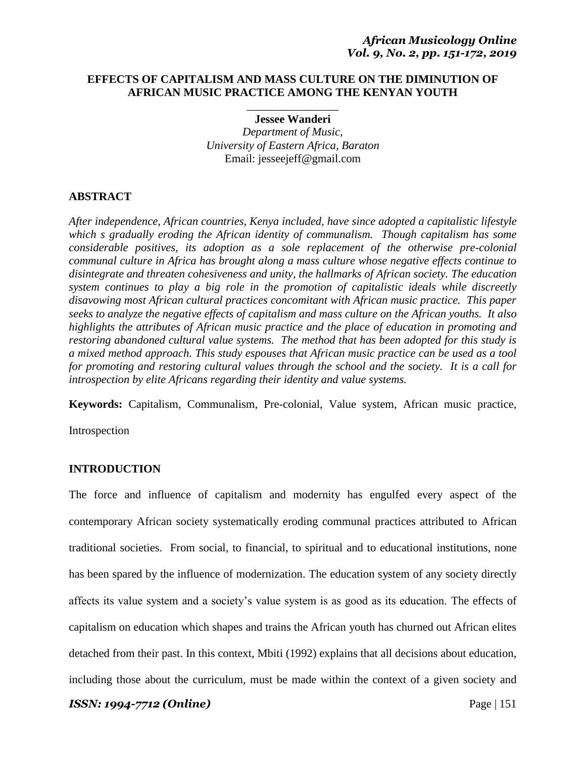# **EFFECTS OF CAPITALISM AND MASS CULTURE ON THE DIMINUTION OF AFRICAN MUSIC PRACTICE AMONG THE KENYAN YOUTH**

\_\_\_\_\_\_\_\_\_\_\_\_\_\_\_\_ **Jessee Wanderi**

*Department of Music, University of Eastern Africa, Baraton* Email: jesseejeff@gmail.com

# **ABSTRACT**

*After independence, African countries, Kenya included, have since adopted a capitalistic lifestyle which s gradually eroding the African identity of communalism. Though capitalism has some considerable positives, its adoption as a sole replacement of the otherwise pre-colonial communal culture in Africa has brought along a mass culture whose negative effects continue to disintegrate and threaten cohesiveness and unity, the hallmarks of African society. The education system continues to play a big role in the promotion of capitalistic ideals while discreetly disavowing most African cultural practices concomitant with African music practice. This paper seeks to analyze the negative effects of capitalism and mass culture on the African youths. It also highlights the attributes of African music practice and the place of education in promoting and restoring abandoned cultural value systems. The method that has been adopted for this study is a mixed method approach. This study espouses that African music practice can be used as a tool for promoting and restoring cultural values through the school and the society. It is a call for introspection by elite Africans regarding their identity and value systems.*

**Keywords:** Capitalism, Communalism, Pre-colonial, Value system, African music practice,

Introspection

# **INTRODUCTION**

The force and influence of capitalism and modernity has engulfed every aspect of the contemporary African society systematically eroding communal practices attributed to African traditional societies. From social, to financial, to spiritual and to educational institutions, none has been spared by the influence of modernization. The education system of any society directly affects its value system and a society's value system is as good as its education. The effects of capitalism on education which shapes and trains the African youth has churned out African elites detached from their past. In this context, Mbiti (1992) explains that all decisions about education, including those about the curriculum, must be made within the context of a given society and

*ISSN: 1994-7712 (Online)* Page | 151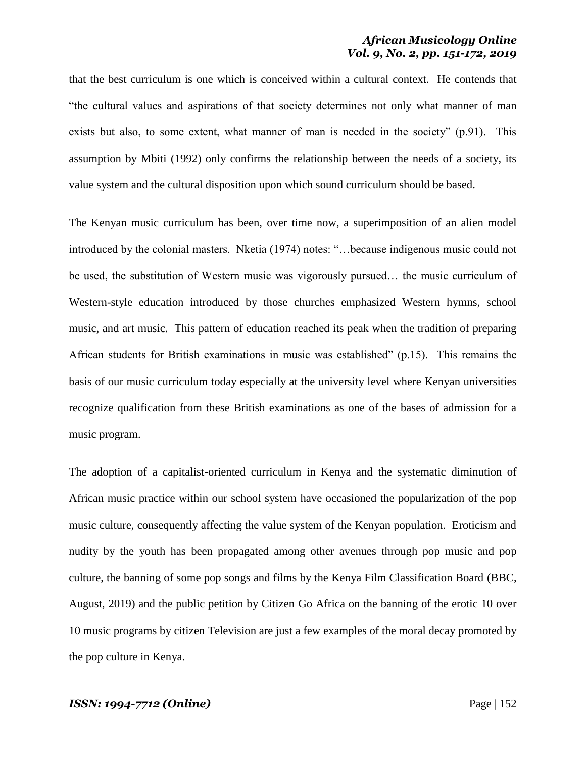that the best curriculum is one which is conceived within a cultural context. He contends that ―the cultural values and aspirations of that society determines not only what manner of man exists but also, to some extent, what manner of man is needed in the society"  $(p.91)$ . This assumption by Mbiti (1992) only confirms the relationship between the needs of a society, its value system and the cultural disposition upon which sound curriculum should be based.

The Kenyan music curriculum has been, over time now, a superimposition of an alien model introduced by the colonial masters. Nketia (1974) notes: "...because indigenous music could not be used, the substitution of Western music was vigorously pursued… the music curriculum of Western-style education introduced by those churches emphasized Western hymns, school music, and art music. This pattern of education reached its peak when the tradition of preparing African students for British examinations in music was established"  $(p.15)$ . This remains the basis of our music curriculum today especially at the university level where Kenyan universities recognize qualification from these British examinations as one of the bases of admission for a music program.

The adoption of a capitalist-oriented curriculum in Kenya and the systematic diminution of African music practice within our school system have occasioned the popularization of the pop music culture, consequently affecting the value system of the Kenyan population. Eroticism and nudity by the youth has been propagated among other avenues through pop music and pop culture, the banning of some pop songs and films by the Kenya Film Classification Board (BBC, August, 2019) and the public petition by Citizen Go Africa on the banning of the erotic 10 over 10 music programs by citizen Television are just a few examples of the moral decay promoted by the pop culture in Kenya.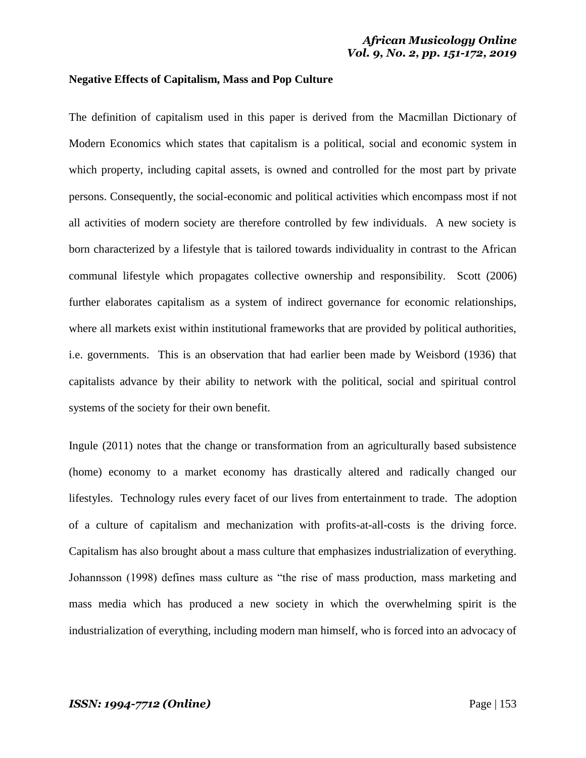### **Negative Effects of Capitalism, Mass and Pop Culture**

The definition of capitalism used in this paper is derived from the Macmillan Dictionary of Modern Economics which states that capitalism is a political, social and economic system in which property, including capital assets, is owned and controlled for the most part by private persons. Consequently, the social-economic and political activities which encompass most if not all activities of modern society are therefore controlled by few individuals. A new society is born characterized by a lifestyle that is tailored towards individuality in contrast to the African communal lifestyle which propagates collective ownership and responsibility. Scott (2006) further elaborates capitalism as a system of indirect governance for economic relationships, where all markets exist within institutional frameworks that are provided by political authorities, i.e. governments. This is an observation that had earlier been made by Weisbord (1936) that capitalists advance by their ability to network with the political, social and spiritual control systems of the society for their own benefit.

Ingule (2011) notes that the change or transformation from an agriculturally based subsistence (home) economy to a market economy has drastically altered and radically changed our lifestyles. Technology rules every facet of our lives from entertainment to trade. The adoption of a culture of capitalism and mechanization with profits-at-all-costs is the driving force. Capitalism has also brought about a mass culture that emphasizes industrialization of everything. Johannsson (1998) defines mass culture as "the rise of mass production, mass marketing and mass media which has produced a new society in which the overwhelming spirit is the industrialization of everything, including modern man himself, who is forced into an advocacy of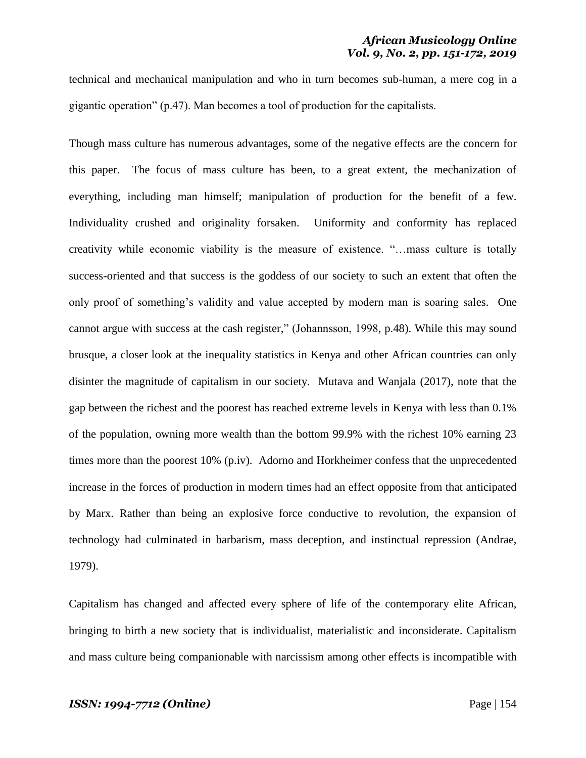technical and mechanical manipulation and who in turn becomes sub-human, a mere cog in a gigantic operation" ( $p.47$ ). Man becomes a tool of production for the capitalists.

Though mass culture has numerous advantages, some of the negative effects are the concern for this paper. The focus of mass culture has been, to a great extent, the mechanization of everything, including man himself; manipulation of production for the benefit of a few. Individuality crushed and originality forsaken. Uniformity and conformity has replaced creativity while economic viability is the measure of existence. "...mass culture is totally success-oriented and that success is the goddess of our society to such an extent that often the only proof of something's validity and value accepted by modern man is soaring sales. One cannot argue with success at the cash register," (Johannsson, 1998, p.48). While this may sound brusque, a closer look at the inequality statistics in Kenya and other African countries can only disinter the magnitude of capitalism in our society. Mutava and Wanjala (2017), note that the gap between the richest and the poorest has reached extreme levels in Kenya with less than 0.1% of the population, owning more wealth than the bottom 99.9% with the richest 10% earning 23 times more than the poorest 10% (p.iv). Adorno and Horkheimer confess that the unprecedented increase in the forces of production in modern times had an effect opposite from that anticipated by Marx. Rather than being an explosive force conductive to revolution, the expansion of technology had culminated in barbarism, mass deception, and instinctual repression (Andrae, 1979).

Capitalism has changed and affected every sphere of life of the contemporary elite African, bringing to birth a new society that is individualist, materialistic and inconsiderate. Capitalism and mass culture being companionable with narcissism among other effects is incompatible with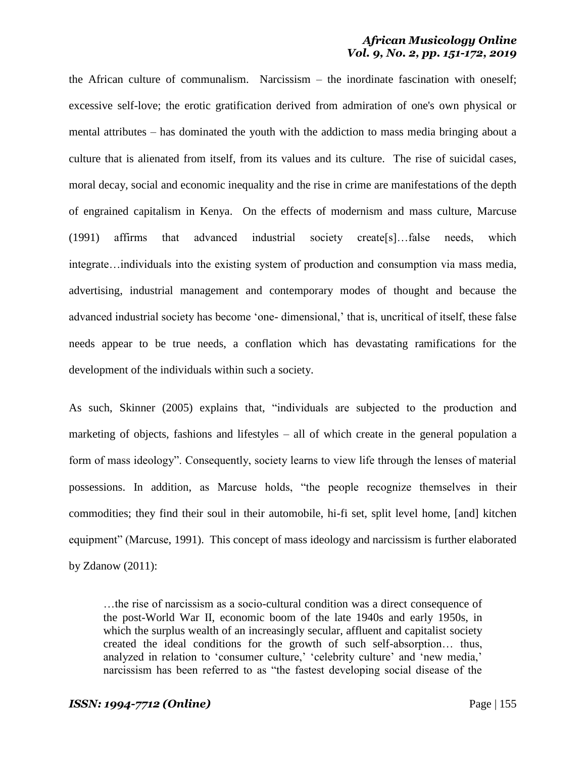the African culture of communalism. Narcissism – the inordinate fascination with oneself; excessive self-love; the erotic gratification derived from admiration of one's own physical or mental attributes – has dominated the youth with the addiction to mass media bringing about a culture that is alienated from itself, from its values and its culture. The rise of suicidal cases, moral decay, social and economic inequality and the rise in crime are manifestations of the depth of engrained capitalism in Kenya. On the effects of modernism and mass culture, Marcuse (1991) affirms that advanced industrial society create[s]…false needs, which integrate…individuals into the existing system of production and consumption via mass media, advertising, industrial management and contemporary modes of thought and because the advanced industrial society has become 'one- dimensional,' that is, uncritical of itself, these false needs appear to be true needs, a conflation which has devastating ramifications for the development of the individuals within such a society.

As such, Skinner (2005) explains that, "individuals are subjected to the production and marketing of objects, fashions and lifestyles – all of which create in the general population a form of mass ideology". Consequently, society learns to view life through the lenses of material possessions. In addition, as Marcuse holds, "the people recognize themselves in their commodities; they find their soul in their automobile, hi-fi set, split level home, [and] kitchen equipment" (Marcuse, 1991). This concept of mass ideology and narcissism is further elaborated by Zdanow (2011):

…the rise of narcissism as a socio-cultural condition was a direct consequence of the post-World War II, economic boom of the late 1940s and early 1950s, in which the surplus wealth of an increasingly secular, affluent and capitalist society created the ideal conditions for the growth of such self-absorption… thus, analyzed in relation to 'consumer culture,' 'celebrity culture' and 'new media,' narcissism has been referred to as "the fastest developing social disease of the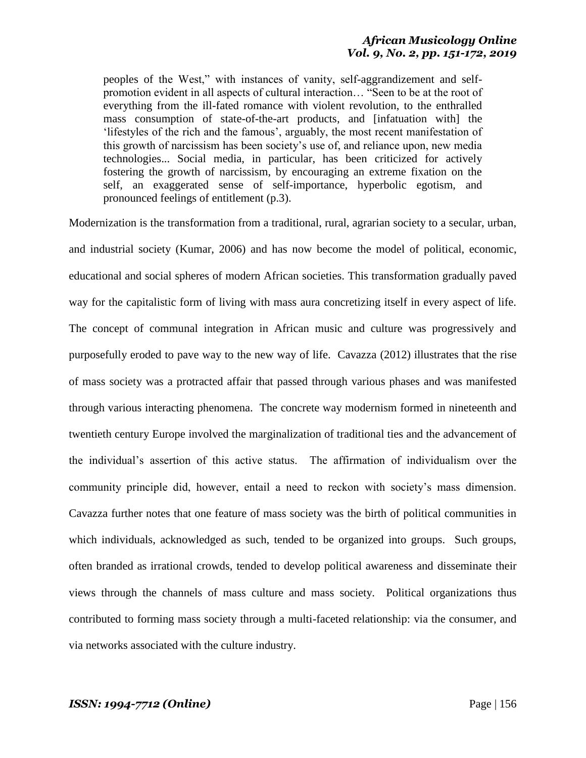peoples of the West," with instances of vanity, self-aggrandizement and selfpromotion evident in all aspects of cultural interaction... "Seen to be at the root of everything from the ill-fated romance with violent revolution, to the enthralled mass consumption of state-of-the-art products, and [infatuation with] the lifestyles of the rich and the famous', arguably, the most recent manifestation of this growth of narcissism has been society's use of, and reliance upon, new media technologies... Social media, in particular, has been criticized for actively fostering the growth of narcissism, by encouraging an extreme fixation on the self, an exaggerated sense of self-importance, hyperbolic egotism, and pronounced feelings of entitlement (p.3).

Modernization is the transformation from a traditional, rural, agrarian society to a secular, urban, and industrial society (Kumar, 2006) and has now become the model of political, economic, educational and social spheres of modern African societies. This transformation gradually paved way for the capitalistic form of living with mass aura concretizing itself in every aspect of life. The concept of communal integration in African music and culture was progressively and purposefully eroded to pave way to the new way of life. Cavazza (2012) illustrates that the rise of mass society was a protracted affair that passed through various phases and was manifested through various interacting phenomena. The concrete way modernism formed in nineteenth and twentieth century Europe involved the marginalization of traditional ties and the advancement of the individual's assertion of this active status. The affirmation of individualism over the community principle did, however, entail a need to reckon with society's mass dimension. Cavazza further notes that one feature of mass society was the birth of political communities in which individuals, acknowledged as such, tended to be organized into groups. Such groups, often branded as irrational crowds, tended to develop political awareness and disseminate their views through the channels of mass culture and mass society. Political organizations thus contributed to forming mass society through a multi-faceted relationship: via the consumer, and via networks associated with the culture industry.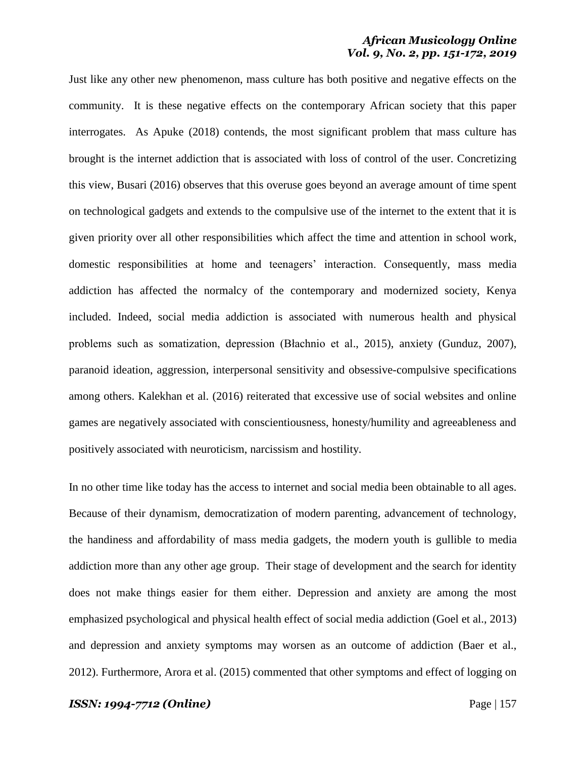Just like any other new phenomenon, mass culture has both positive and negative effects on the community. It is these negative effects on the contemporary African society that this paper interrogates. As Apuke (2018) contends, the most significant problem that mass culture has brought is the internet addiction that is associated with loss of control of the user. Concretizing this view, Busari (2016) observes that this overuse goes beyond an average amount of time spent on technological gadgets and extends to the compulsive use of the internet to the extent that it is given priority over all other responsibilities which affect the time and attention in school work, domestic responsibilities at home and teenagers' interaction. Consequently, mass media addiction has affected the normalcy of the contemporary and modernized society, Kenya included. Indeed, social media addiction is associated with numerous health and physical problems such as somatization, depression (Błachnio et al., 2015), anxiety (Gunduz, 2007), paranoid ideation, aggression, interpersonal sensitivity and obsessive-compulsive specifications among others. Kalekhan et al. (2016) reiterated that excessive use of social websites and online games are negatively associated with conscientiousness, honesty/humility and agreeableness and positively associated with neuroticism, narcissism and hostility.

In no other time like today has the access to internet and social media been obtainable to all ages. Because of their dynamism, democratization of modern parenting, advancement of technology, the handiness and affordability of mass media gadgets, the modern youth is gullible to media addiction more than any other age group. Their stage of development and the search for identity does not make things easier for them either. Depression and anxiety are among the most emphasized psychological and physical health effect of social media addiction (Goel et al., 2013) and depression and anxiety symptoms may worsen as an outcome of addiction (Baer et al., 2012). Furthermore, Arora et al. (2015) commented that other symptoms and effect of logging on

#### *ISSN: 1994-7712 (Online)* Page | 157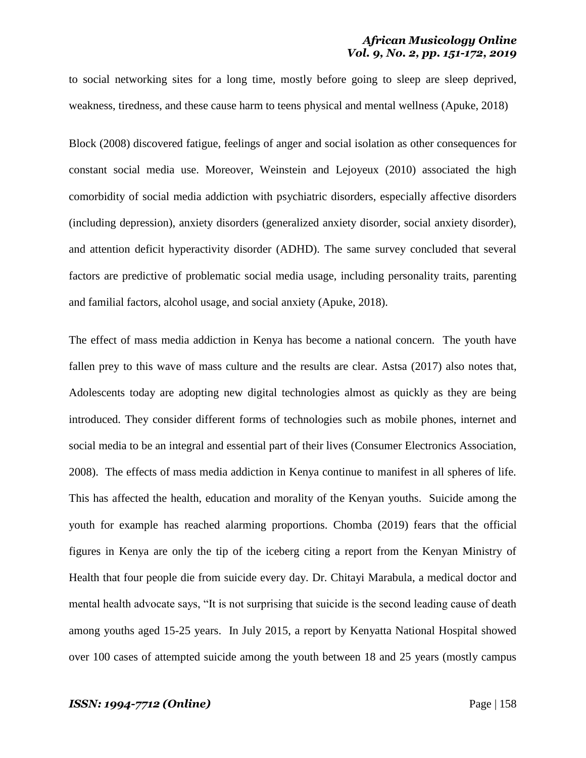to social networking sites for a long time, mostly before going to sleep are sleep deprived, weakness, tiredness, and these cause harm to teens physical and mental wellness (Apuke, 2018)

Block (2008) discovered fatigue, feelings of anger and social isolation as other consequences for constant social media use. Moreover, Weinstein and Lejoyeux (2010) associated the high comorbidity of social media addiction with psychiatric disorders, especially affective disorders (including depression), anxiety disorders (generalized anxiety disorder, social anxiety disorder), and attention deficit hyperactivity disorder (ADHD). The same survey concluded that several factors are predictive of problematic social media usage, including personality traits, parenting and familial factors, alcohol usage, and social anxiety (Apuke, 2018).

The effect of mass media addiction in Kenya has become a national concern. The youth have fallen prey to this wave of mass culture and the results are clear. Astsa (2017) also notes that, Adolescents today are adopting new digital technologies almost as quickly as they are being introduced. They consider different forms of technologies such as mobile phones, internet and social media to be an integral and essential part of their lives (Consumer Electronics Association, 2008). The effects of mass media addiction in Kenya continue to manifest in all spheres of life. This has affected the health, education and morality of the Kenyan youths. Suicide among the youth for example has reached alarming proportions. Chomba (2019) fears that the official figures in Kenya are only the tip of the iceberg citing a report from the Kenyan Ministry of Health that four people die from suicide every day. Dr. Chitayi Marabula, a medical doctor and mental health advocate says, "It is not surprising that suicide is the second leading cause of death among youths aged 15-25 years. In July 2015, a report by Kenyatta National Hospital showed over 100 cases of attempted suicide among the youth between 18 and 25 years (mostly campus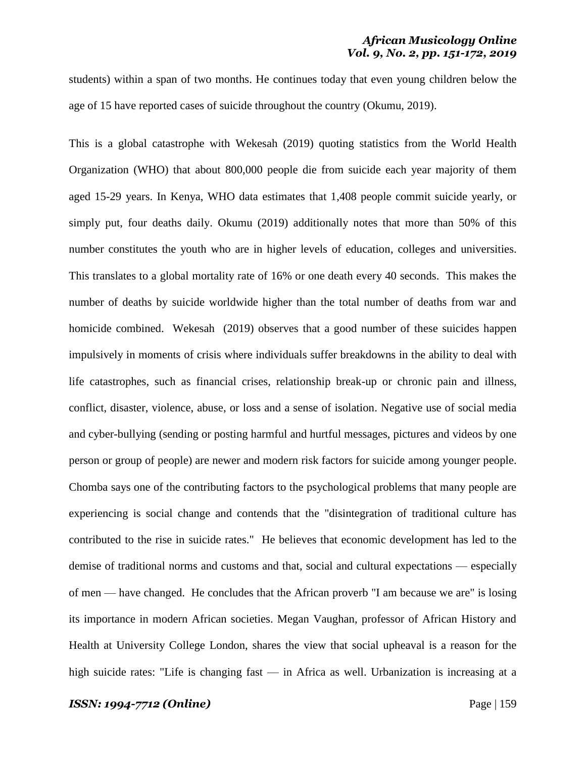students) within a span of two months. He continues today that even young children below the age of 15 have reported cases of suicide throughout the country (Okumu, 2019).

This is a global catastrophe with Wekesah (2019) quoting statistics from the World Health Organization (WHO) that about 800,000 people die from suicide each year majority of them aged 15-29 years. In Kenya, WHO data estimates that 1,408 people commit suicide yearly, or simply put, four deaths daily. Okumu (2019) additionally notes that more than 50% of this number constitutes the youth who are in higher levels of education, colleges and universities. This translates to a global mortality rate of 16% or one death every 40 seconds. This makes the number of deaths by suicide worldwide higher than the total number of deaths from war and homicide combined. Wekesah (2019) observes that a good number of these suicides happen impulsively in moments of crisis where individuals suffer breakdowns in the ability to deal with life catastrophes, such as financial crises, relationship break-up or chronic pain and illness, conflict, disaster, violence, abuse, or loss and a sense of isolation. Negative use of social media and cyber-bullying (sending or posting harmful and hurtful messages, pictures and videos by one person or group of people) are newer and modern risk factors for suicide among younger people. Chomba says one of the contributing factors to the psychological problems that many people are experiencing is social change and contends that the "disintegration of traditional culture has contributed to the rise in suicide rates." He believes that economic development has led to the demise of traditional norms and customs and that, social and cultural expectations — especially of men — have changed. He concludes that the African proverb "I am because we are" is losing its importance in modern African societies. Megan Vaughan, professor of African History and Health at University College London, shares the view that social upheaval is a reason for the high suicide rates: "Life is changing fast — in Africa as well. Urbanization is increasing at a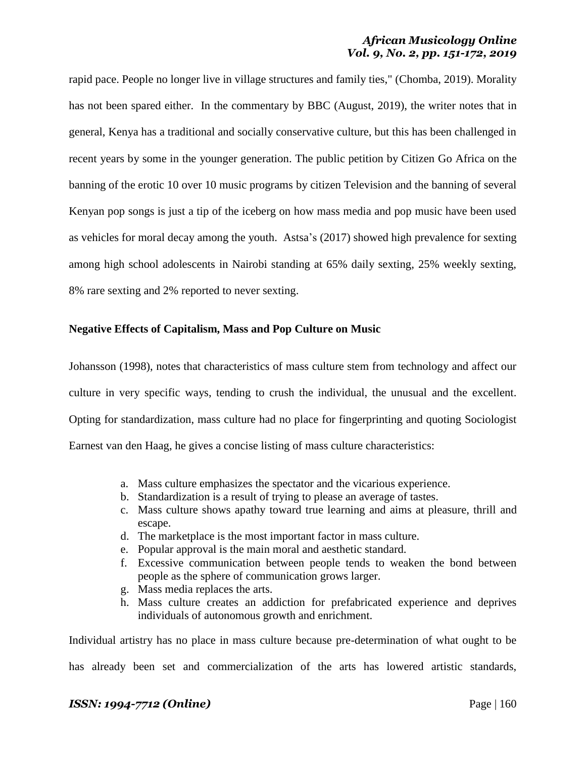rapid pace. People no longer live in village structures and family ties," (Chomba, 2019). Morality has not been spared either. In the commentary by BBC (August, 2019), the writer notes that in general, Kenya has a traditional and socially conservative culture, but this has been challenged in recent years by some in the younger generation. The public petition by Citizen Go Africa on the banning of the erotic 10 over 10 music programs by citizen Television and the banning of several Kenyan pop songs is just a tip of the iceberg on how mass media and pop music have been used as vehicles for moral decay among the youth. Astsa's (2017) showed high prevalence for sexting among high school adolescents in Nairobi standing at 65% daily sexting, 25% weekly sexting, 8% rare sexting and 2% reported to never sexting.

# **Negative Effects of Capitalism, Mass and Pop Culture on Music**

Johansson (1998), notes that characteristics of mass culture stem from technology and affect our culture in very specific ways, tending to crush the individual, the unusual and the excellent. Opting for standardization, mass culture had no place for fingerprinting and quoting Sociologist Earnest van den Haag, he gives a concise listing of mass culture characteristics:

- a. Mass culture emphasizes the spectator and the vicarious experience.
- b. Standardization is a result of trying to please an average of tastes.
- c. Mass culture shows apathy toward true learning and aims at pleasure, thrill and escape.
- d. The marketplace is the most important factor in mass culture.
- e. Popular approval is the main moral and aesthetic standard.
- f. Excessive communication between people tends to weaken the bond between people as the sphere of communication grows larger.
- g. Mass media replaces the arts.
- h. Mass culture creates an addiction for prefabricated experience and deprives individuals of autonomous growth and enrichment.

Individual artistry has no place in mass culture because pre-determination of what ought to be has already been set and commercialization of the arts has lowered artistic standards,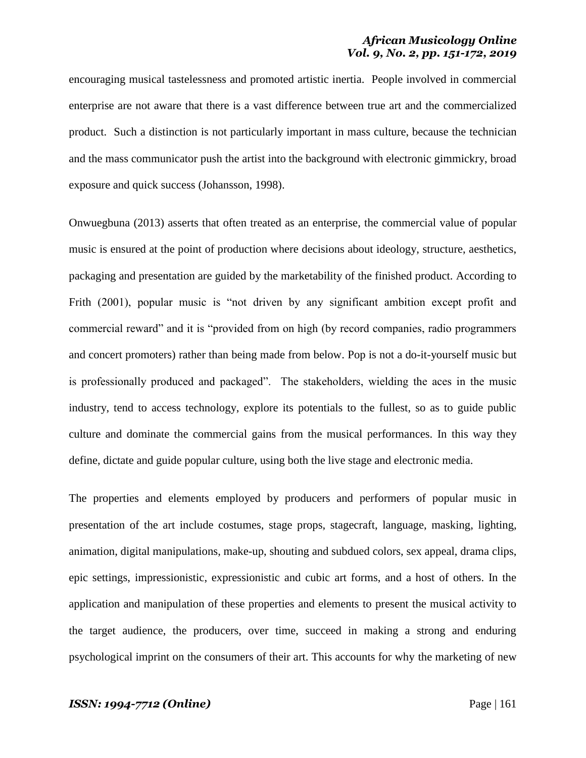encouraging musical tastelessness and promoted artistic inertia. People involved in commercial enterprise are not aware that there is a vast difference between true art and the commercialized product. Such a distinction is not particularly important in mass culture, because the technician and the mass communicator push the artist into the background with electronic gimmickry, broad exposure and quick success (Johansson, 1998).

Onwuegbuna (2013) asserts that often treated as an enterprise, the commercial value of popular music is ensured at the point of production where decisions about ideology, structure, aesthetics, packaging and presentation are guided by the marketability of the finished product. According to Frith (2001), popular music is "not driven by any significant ambition except profit and commercial reward" and it is "provided from on high (by record companies, radio programmers and concert promoters) rather than being made from below. Pop is not a do-it-yourself music but is professionally produced and packaged". The stakeholders, wielding the aces in the music industry, tend to access technology, explore its potentials to the fullest, so as to guide public culture and dominate the commercial gains from the musical performances. In this way they define, dictate and guide popular culture, using both the live stage and electronic media.

The properties and elements employed by producers and performers of popular music in presentation of the art include costumes, stage props, stagecraft, language, masking, lighting, animation, digital manipulations, make-up, shouting and subdued colors, sex appeal, drama clips, epic settings, impressionistic, expressionistic and cubic art forms, and a host of others. In the application and manipulation of these properties and elements to present the musical activity to the target audience, the producers, over time, succeed in making a strong and enduring psychological imprint on the consumers of their art. This accounts for why the marketing of new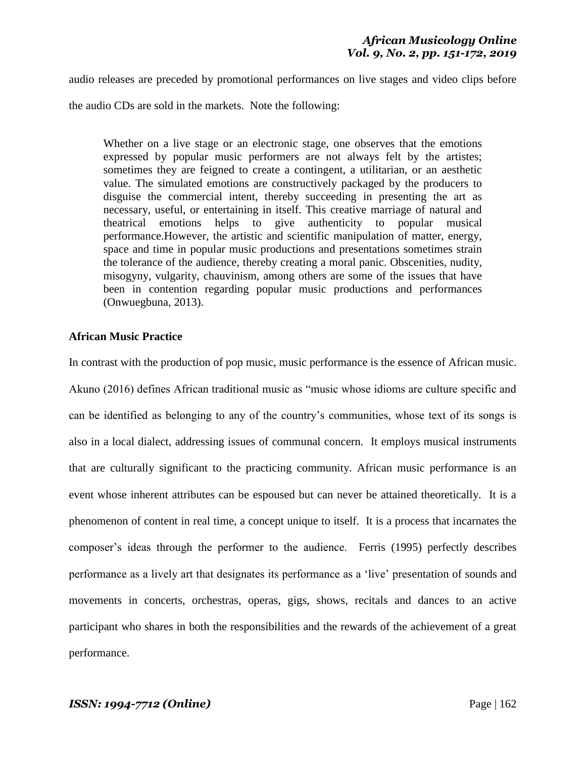audio releases are preceded by promotional performances on live stages and video clips before

the audio CDs are sold in the markets. Note the following:

Whether on a live stage or an electronic stage, one observes that the emotions expressed by popular music performers are not always felt by the artistes; sometimes they are feigned to create a contingent, a utilitarian, or an aesthetic value. The simulated emotions are constructively packaged by the producers to disguise the commercial intent, thereby succeeding in presenting the art as necessary, useful, or entertaining in itself. This creative marriage of natural and theatrical emotions helps to give authenticity to popular musical performance.However, the artistic and scientific manipulation of matter, energy, space and time in popular music productions and presentations sometimes strain the tolerance of the audience, thereby creating a moral panic. Obscenities, nudity, misogyny, vulgarity, chauvinism, among others are some of the issues that have been in contention regarding popular music productions and performances (Onwuegbuna, 2013).

# **African Music Practice**

In contrast with the production of pop music, music performance is the essence of African music. Akuno (2016) defines African traditional music as "music whose idioms are culture specific and can be identified as belonging to any of the country's communities, whose text of its songs is also in a local dialect, addressing issues of communal concern. It employs musical instruments that are culturally significant to the practicing community. African music performance is an event whose inherent attributes can be espoused but can never be attained theoretically. It is a phenomenon of content in real time, a concept unique to itself. It is a process that incarnates the composer's ideas through the performer to the audience. Ferris (1995) perfectly describes performance as a lively art that designates its performance as a 'live' presentation of sounds and movements in concerts, orchestras, operas, gigs, shows, recitals and dances to an active participant who shares in both the responsibilities and the rewards of the achievement of a great performance.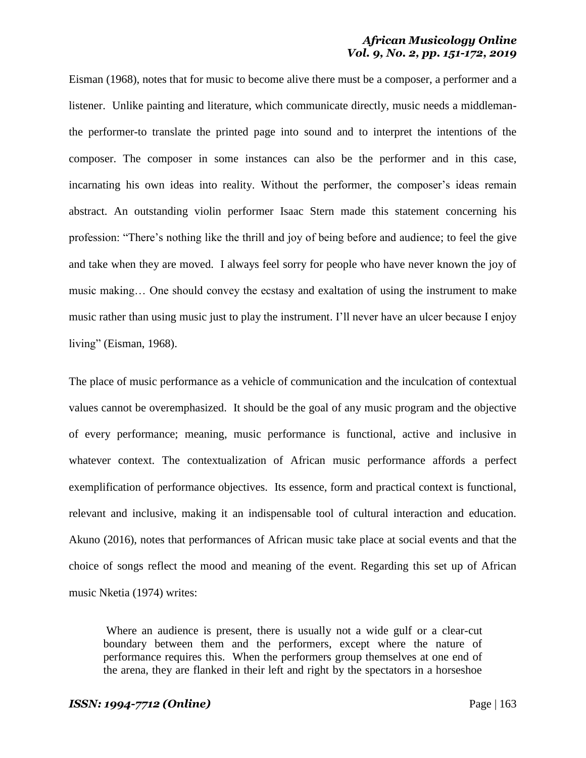Eisman (1968), notes that for music to become alive there must be a composer, a performer and a listener. Unlike painting and literature, which communicate directly, music needs a middlemanthe performer-to translate the printed page into sound and to interpret the intentions of the composer. The composer in some instances can also be the performer and in this case, incarnating his own ideas into reality. Without the performer, the composer's ideas remain abstract. An outstanding violin performer Isaac Stern made this statement concerning his profession: "There's nothing like the thrill and joy of being before and audience; to feel the give and take when they are moved. I always feel sorry for people who have never known the joy of music making… One should convey the ecstasy and exaltation of using the instrument to make music rather than using music just to play the instrument. I'll never have an ulcer because I enjoy living" (Eisman,  $1968$ ).

The place of music performance as a vehicle of communication and the inculcation of contextual values cannot be overemphasized. It should be the goal of any music program and the objective of every performance; meaning, music performance is functional, active and inclusive in whatever context. The contextualization of African music performance affords a perfect exemplification of performance objectives. Its essence, form and practical context is functional, relevant and inclusive, making it an indispensable tool of cultural interaction and education. Akuno (2016), notes that performances of African music take place at social events and that the choice of songs reflect the mood and meaning of the event. Regarding this set up of African music Nketia (1974) writes:

Where an audience is present, there is usually not a wide gulf or a clear-cut boundary between them and the performers, except where the nature of performance requires this. When the performers group themselves at one end of the arena, they are flanked in their left and right by the spectators in a horseshoe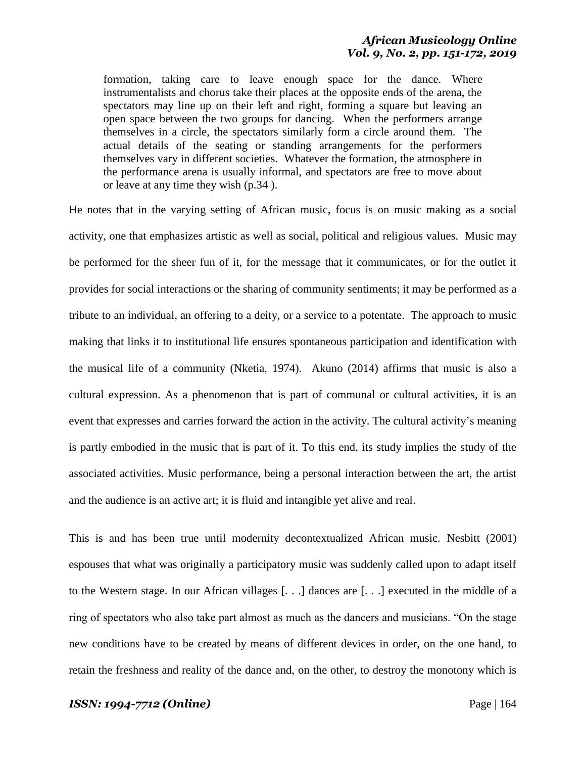formation, taking care to leave enough space for the dance. Where instrumentalists and chorus take their places at the opposite ends of the arena, the spectators may line up on their left and right, forming a square but leaving an open space between the two groups for dancing. When the performers arrange themselves in a circle, the spectators similarly form a circle around them. The actual details of the seating or standing arrangements for the performers themselves vary in different societies. Whatever the formation, the atmosphere in the performance arena is usually informal, and spectators are free to move about or leave at any time they wish (p.34 ).

He notes that in the varying setting of African music, focus is on music making as a social activity, one that emphasizes artistic as well as social, political and religious values. Music may be performed for the sheer fun of it, for the message that it communicates, or for the outlet it provides for social interactions or the sharing of community sentiments; it may be performed as a tribute to an individual, an offering to a deity, or a service to a potentate. The approach to music making that links it to institutional life ensures spontaneous participation and identification with the musical life of a community (Nketia, 1974). Akuno (2014) affirms that music is also a cultural expression. As a phenomenon that is part of communal or cultural activities, it is an event that expresses and carries forward the action in the activity. The cultural activity's meaning is partly embodied in the music that is part of it. To this end, its study implies the study of the associated activities. Music performance, being a personal interaction between the art, the artist and the audience is an active art; it is fluid and intangible yet alive and real.

This is and has been true until modernity decontextualized African music. Nesbitt (2001) espouses that what was originally a participatory music was suddenly called upon to adapt itself to the Western stage. In our African villages [. . .] dances are [. . .] executed in the middle of a ring of spectators who also take part almost as much as the dancers and musicians. "On the stage new conditions have to be created by means of different devices in order, on the one hand, to retain the freshness and reality of the dance and, on the other, to destroy the monotony which is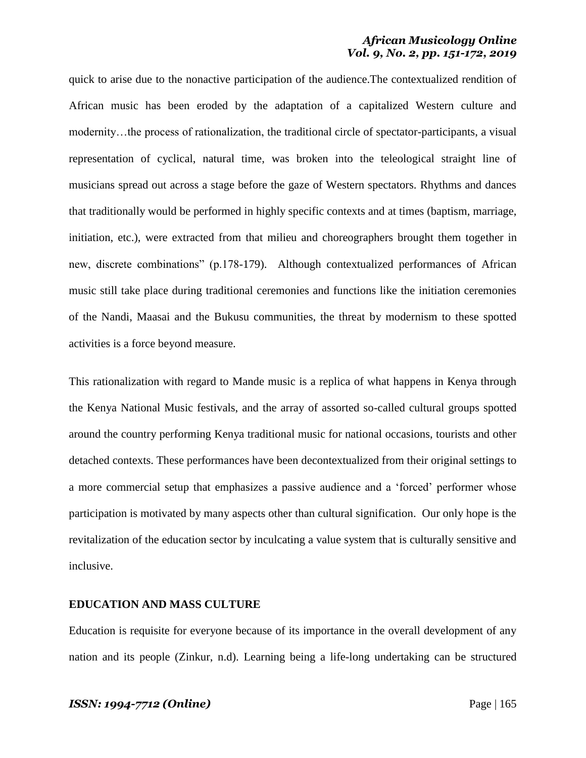quick to arise due to the nonactive participation of the audience.The contextualized rendition of African music has been eroded by the adaptation of a capitalized Western culture and modernity…the process of rationalization, the traditional circle of spectator-participants, a visual representation of cyclical, natural time, was broken into the teleological straight line of musicians spread out across a stage before the gaze of Western spectators. Rhythms and dances that traditionally would be performed in highly specific contexts and at times (baptism, marriage, initiation, etc.), were extracted from that milieu and choreographers brought them together in new, discrete combinations" (p.178-179). Although contextualized performances of African music still take place during traditional ceremonies and functions like the initiation ceremonies of the Nandi, Maasai and the Bukusu communities, the threat by modernism to these spotted activities is a force beyond measure.

This rationalization with regard to Mande music is a replica of what happens in Kenya through the Kenya National Music festivals, and the array of assorted so-called cultural groups spotted around the country performing Kenya traditional music for national occasions, tourists and other detached contexts. These performances have been decontextualized from their original settings to a more commercial setup that emphasizes a passive audience and a 'forced' performer whose participation is motivated by many aspects other than cultural signification. Our only hope is the revitalization of the education sector by inculcating a value system that is culturally sensitive and inclusive.

#### **EDUCATION AND MASS CULTURE**

Education is requisite for everyone because of its importance in the overall development of any nation and its people (Zinkur, n.d). Learning being a life-long undertaking can be structured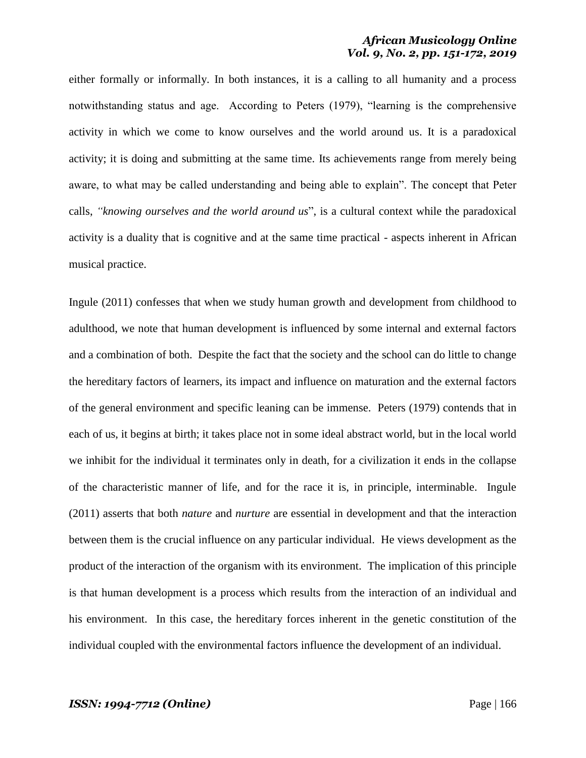either formally or informally. In both instances, it is a calling to all humanity and a process notwithstanding status and age. According to Peters (1979), "learning is the comprehensive activity in which we come to know ourselves and the world around us. It is a paradoxical activity; it is doing and submitting at the same time. Its achievements range from merely being aware, to what may be called understanding and being able to explain". The concept that Peter calls, "knowing ourselves and the world around us", is a cultural context while the paradoxical activity is a duality that is cognitive and at the same time practical - aspects inherent in African musical practice.

Ingule (2011) confesses that when we study human growth and development from childhood to adulthood, we note that human development is influenced by some internal and external factors and a combination of both. Despite the fact that the society and the school can do little to change the hereditary factors of learners, its impact and influence on maturation and the external factors of the general environment and specific leaning can be immense. Peters (1979) contends that in each of us, it begins at birth; it takes place not in some ideal abstract world, but in the local world we inhibit for the individual it terminates only in death, for a civilization it ends in the collapse of the characteristic manner of life, and for the race it is, in principle, interminable. Ingule (2011) asserts that both *nature* and *nurture* are essential in development and that the interaction between them is the crucial influence on any particular individual. He views development as the product of the interaction of the organism with its environment. The implication of this principle is that human development is a process which results from the interaction of an individual and his environment. In this case, the hereditary forces inherent in the genetic constitution of the individual coupled with the environmental factors influence the development of an individual.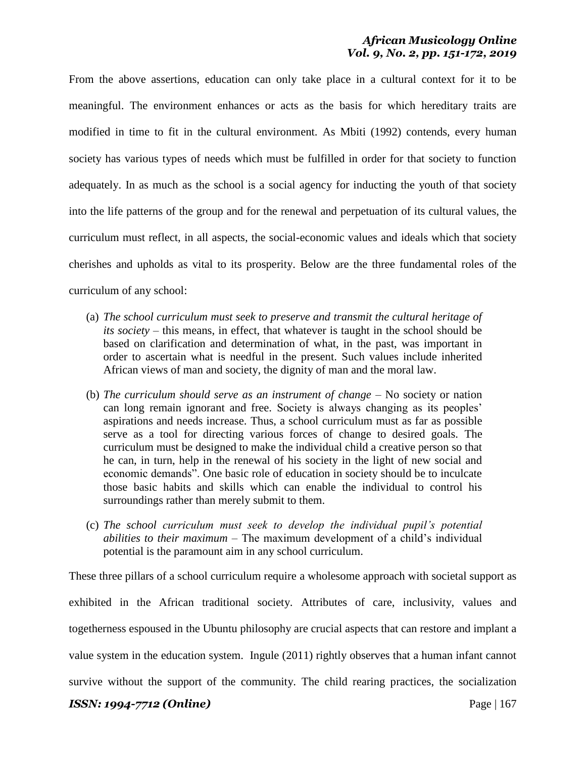From the above assertions, education can only take place in a cultural context for it to be meaningful. The environment enhances or acts as the basis for which hereditary traits are modified in time to fit in the cultural environment. As Mbiti (1992) contends, every human society has various types of needs which must be fulfilled in order for that society to function adequately. In as much as the school is a social agency for inducting the youth of that society into the life patterns of the group and for the renewal and perpetuation of its cultural values, the curriculum must reflect, in all aspects, the social-economic values and ideals which that society cherishes and upholds as vital to its prosperity. Below are the three fundamental roles of the curriculum of any school:

- (a) *The school curriculum must seek to preserve and transmit the cultural heritage of its society* – this means, in effect, that whatever is taught in the school should be based on clarification and determination of what, in the past, was important in order to ascertain what is needful in the present. Such values include inherited African views of man and society, the dignity of man and the moral law.
- (b) *The curriculum should serve as an instrument of change* No society or nation can long remain ignorant and free. Society is always changing as its peoples' aspirations and needs increase. Thus, a school curriculum must as far as possible serve as a tool for directing various forces of change to desired goals. The curriculum must be designed to make the individual child a creative person so that he can, in turn, help in the renewal of his society in the light of new social and economic demands". One basic role of education in society should be to inculcate those basic habits and skills which can enable the individual to control his surroundings rather than merely submit to them.
- (c) *The school curriculum must seek to develop the individual pupil's potential abilities to their maximum* – The maximum development of a child's individual potential is the paramount aim in any school curriculum.

*ISSN: 1994-7712 (Online) Page | 167* These three pillars of a school curriculum require a wholesome approach with societal support as exhibited in the African traditional society. Attributes of care, inclusivity, values and togetherness espoused in the Ubuntu philosophy are crucial aspects that can restore and implant a value system in the education system. Ingule (2011) rightly observes that a human infant cannot survive without the support of the community. The child rearing practices, the socialization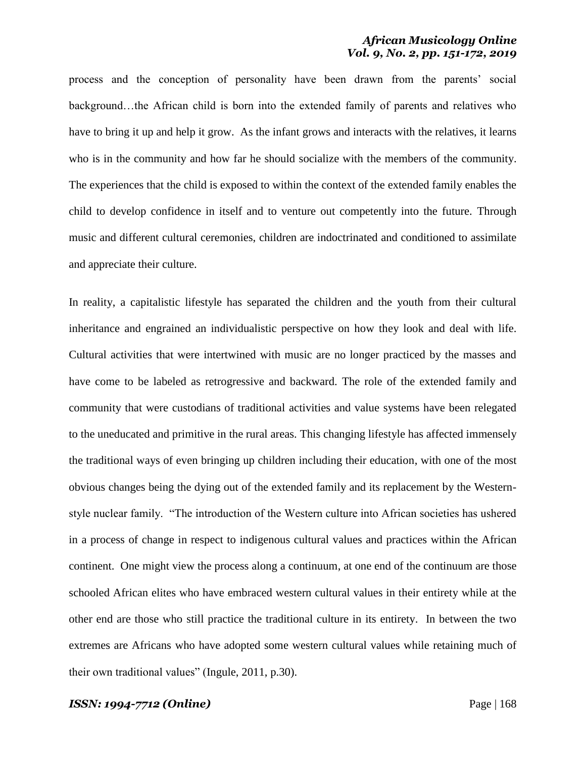process and the conception of personality have been drawn from the parents' social background…the African child is born into the extended family of parents and relatives who have to bring it up and help it grow. As the infant grows and interacts with the relatives, it learns who is in the community and how far he should socialize with the members of the community. The experiences that the child is exposed to within the context of the extended family enables the child to develop confidence in itself and to venture out competently into the future. Through music and different cultural ceremonies, children are indoctrinated and conditioned to assimilate and appreciate their culture.

In reality, a capitalistic lifestyle has separated the children and the youth from their cultural inheritance and engrained an individualistic perspective on how they look and deal with life. Cultural activities that were intertwined with music are no longer practiced by the masses and have come to be labeled as retrogressive and backward. The role of the extended family and community that were custodians of traditional activities and value systems have been relegated to the uneducated and primitive in the rural areas. This changing lifestyle has affected immensely the traditional ways of even bringing up children including their education, with one of the most obvious changes being the dying out of the extended family and its replacement by the Westernstyle nuclear family. "The introduction of the Western culture into African societies has ushered in a process of change in respect to indigenous cultural values and practices within the African continent. One might view the process along a continuum, at one end of the continuum are those schooled African elites who have embraced western cultural values in their entirety while at the other end are those who still practice the traditional culture in its entirety. In between the two extremes are Africans who have adopted some western cultural values while retaining much of their own traditional values" (Ingule,  $2011$ , p.30).

#### *ISSN: 1994-7712 (Online)* Page | 168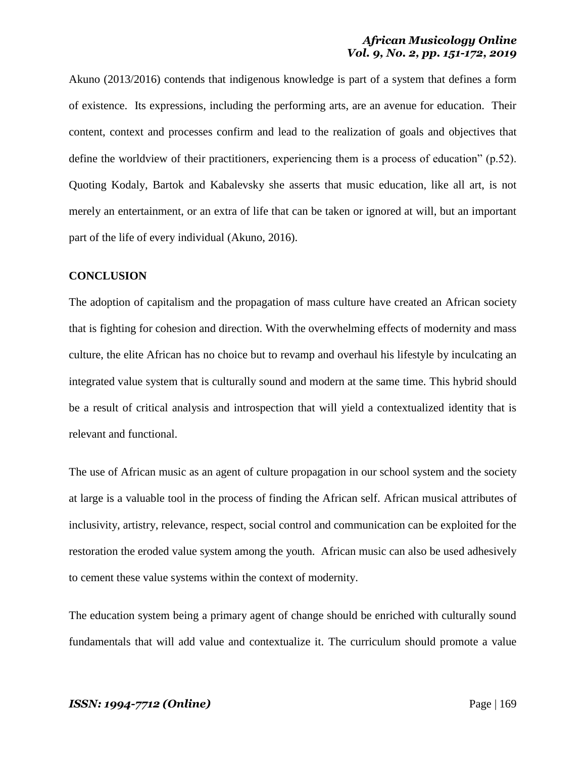Akuno (2013/2016) contends that indigenous knowledge is part of a system that defines a form of existence. Its expressions, including the performing arts, are an avenue for education. Their content, context and processes confirm and lead to the realization of goals and objectives that define the worldview of their practitioners, experiencing them is a process of education" ( $p.52$ ). Quoting Kodaly, Bartok and Kabalevsky she asserts that music education, like all art, is not merely an entertainment, or an extra of life that can be taken or ignored at will, but an important part of the life of every individual (Akuno, 2016).

#### **CONCLUSION**

The adoption of capitalism and the propagation of mass culture have created an African society that is fighting for cohesion and direction. With the overwhelming effects of modernity and mass culture, the elite African has no choice but to revamp and overhaul his lifestyle by inculcating an integrated value system that is culturally sound and modern at the same time. This hybrid should be a result of critical analysis and introspection that will yield a contextualized identity that is relevant and functional.

The use of African music as an agent of culture propagation in our school system and the society at large is a valuable tool in the process of finding the African self. African musical attributes of inclusivity, artistry, relevance, respect, social control and communication can be exploited for the restoration the eroded value system among the youth. African music can also be used adhesively to cement these value systems within the context of modernity.

The education system being a primary agent of change should be enriched with culturally sound fundamentals that will add value and contextualize it. The curriculum should promote a value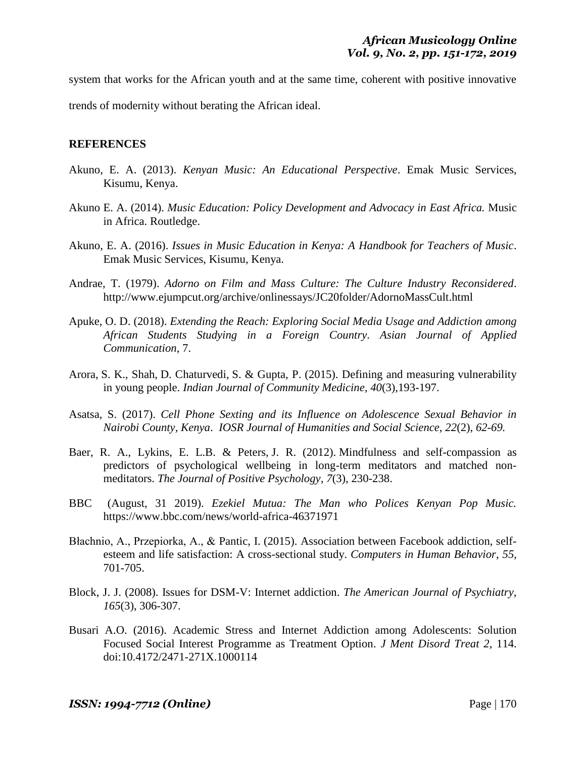system that works for the African youth and at the same time, coherent with positive innovative

trends of modernity without berating the African ideal.

#### **REFERENCES**

- Akuno, E. A. (2013). *Kenyan Music: An Educational Perspective*. Emak Music Services, Kisumu, Kenya.
- Akuno E. A. (2014). *Music Education: Policy Development and Advocacy in East Africa.* Music in Africa. Routledge.
- Akuno, E. A. (2016). *Issues in Music Education in Kenya: A Handbook for Teachers of Music*. Emak Music Services, Kisumu, Kenya.
- Andrae, T. (1979). *Adorno on Film and Mass Culture: The Culture Industry Reconsidered*. http://www.ejumpcut.org/archive/onlinessays/JC20folder/AdornoMassCult.html
- Apuke, O. D. (2018). *Extending the Reach: Exploring Social Media Usage and Addiction among African Students Studying in a Foreign Country*. *Asian Journal of Applied Communication*, 7.
- Arora, S. K., Shah, D. Chaturvedi, S. & Gupta, P. (2015). Defining and measuring vulnerability in young people. *Indian Journal of Community Medicine, 40*(3),193-197.
- Asatsa, S. (2017). *Cell Phone Sexting and its Influence on Adolescence Sexual Behavior in Nairobi County, Kenya*. *IOSR Journal of Humanities and Social Science, 22*(2), *62-69.*
- Baer, R. A., Lykins, E. L.B. & Peters, J. R. (2012). Mindfulness and self-compassion as predictors of psychological wellbeing in long-term meditators and matched nonmeditators. *The Journal of Positive Psychology, 7*(3), 230-238.
- BBC (August, 31 2019). *Ezekiel Mutua: The Man who Polices Kenyan Pop Music.* https://www.bbc.com/news/world-africa-46371971
- Błachnio, A., Przepiorka, A., & Pantic, I. (2015). Association between Facebook addiction, selfesteem and life satisfaction: A cross-sectional study. *Computers in Human Behavior*, *55*, 701-705.
- Block, J. J. (2008). Issues for DSM-V: Internet addiction. *The American Journal of Psychiatry, 165*(3), 306-307.
- Busari A.O. (2016). Academic Stress and Internet Addiction among Adolescents: Solution Focused Social Interest Programme as Treatment Option. *J Ment Disord Treat 2,* 114. doi:10.4172/2471-271X.1000114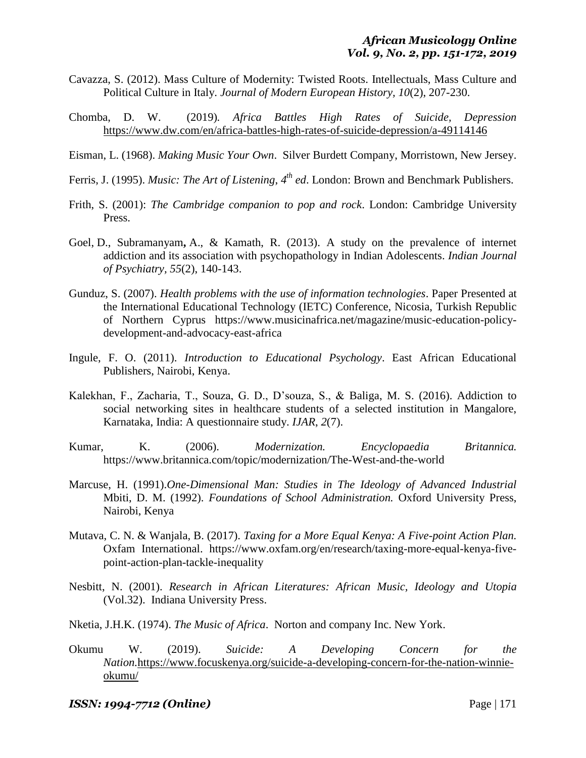- Cavazza, S. (2012). Mass Culture of Modernity: Twisted Roots. Intellectuals, Mass Culture and Political Culture in Italy. *Journal of Modern European History, 10*(2), 207-230.
- Chomba, D. W. (2019)*. Africa Battles High Rates of Suicide, Depression*  <https://www.dw.com/en/africa-battles-high-rates-of-suicide-depression/a-49114146>
- Eisman, L. (1968). *Making Music Your Own*. Silver Burdett Company, Morristown, New Jersey.
- Ferris, J. (1995). *Music: The Art of Listening*, 4<sup>th</sup> ed. London: Brown and Benchmark Publishers.
- Frith, S. (2001): *The Cambridge companion to pop and rock*. London: Cambridge University Press.
- Goel, D., Subramanyam**,** A., & Kamath, R. (2013). A study on the prevalence of internet addiction and its association with psychopathology in Indian Adolescents. *Indian Journal of Psychiatry, 55*(2), 140-143.
- Gunduz, S. (2007). *Health problems with the use of information technologies*. Paper Presented at the International Educational Technology (IETC) Conference, Nicosia, Turkish Republic of Northern Cyprus https://www.musicinafrica.net/magazine/music-education-policydevelopment-and-advocacy-east-africa
- Ingule, F. O. (2011). *Introduction to Educational Psychology*. East African Educational Publishers, Nairobi, Kenya.
- Kalekhan, F., Zacharia, T., Souza, G. D., D'souza, S., & Baliga, M. S. (2016). Addiction to social networking sites in healthcare students of a selected institution in Mangalore, Karnataka, India: A questionnaire study. *IJAR*, *2*(7).
- Kumar, K. (2006). *Modernization. Encyclopaedia Britannica.* https://www.britannica.com/topic/modernization/The-West-and-the-world
- Marcuse, H. (1991).*One-Dimensional Man: Studies in The Ideology of Advanced Industrial* Mbiti, D. M. (1992). *Foundations of School Administration.* Oxford University Press, Nairobi, Kenya
- Mutava, C. N. & Wanjala, B. (2017). *Taxing for a More Equal Kenya: A Five-point Action Plan.* Oxfam International. https://www.oxfam.org/en/research/taxing-more-equal-kenya-fivepoint-action-plan-tackle-inequality
- Nesbitt, N. (2001). *Research in African Literatures: African Music, Ideology and Utopia* (Vol.32). Indiana University Press.
- Nketia, J.H.K. (1974). *The Music of Africa*. Norton and company Inc. New York.
- Okumu W. (2019). *Suicide: A Developing Concern for the Nation.*[https://www.focuskenya.org/suicide-a-developing-concern-for-the-nation-winnie](https://www.focuskenya.org/suicide-a-developing-concern-for-the-nation-winnie-okumu/)[okumu/](https://www.focuskenya.org/suicide-a-developing-concern-for-the-nation-winnie-okumu/)